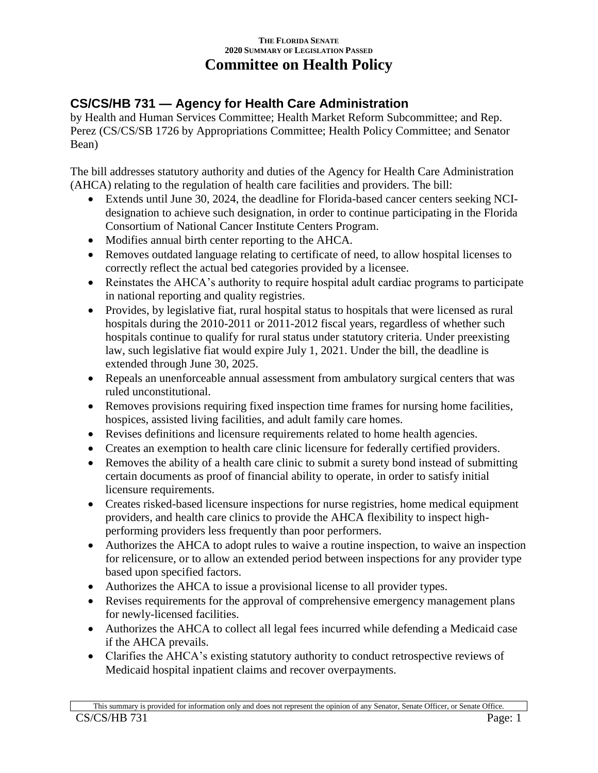## **THE FLORIDA SENATE 2020 SUMMARY OF LEGISLATION PASSED Committee on Health Policy**

## **CS/CS/HB 731 — Agency for Health Care Administration**

by Health and Human Services Committee; Health Market Reform Subcommittee; and Rep. Perez (CS/CS/SB 1726 by Appropriations Committee; Health Policy Committee; and Senator Bean)

The bill addresses statutory authority and duties of the Agency for Health Care Administration (AHCA) relating to the regulation of health care facilities and providers. The bill:

- Extends until June 30, 2024, the deadline for Florida-based cancer centers seeking NCIdesignation to achieve such designation, in order to continue participating in the Florida Consortium of National Cancer Institute Centers Program.
- Modifies annual birth center reporting to the AHCA.
- Removes outdated language relating to certificate of need, to allow hospital licenses to correctly reflect the actual bed categories provided by a licensee.
- Reinstates the AHCA's authority to require hospital adult cardiac programs to participate in national reporting and quality registries.
- Provides, by legislative fiat, rural hospital status to hospitals that were licensed as rural hospitals during the 2010-2011 or 2011-2012 fiscal years, regardless of whether such hospitals continue to qualify for rural status under statutory criteria. Under preexisting law, such legislative fiat would expire July 1, 2021. Under the bill, the deadline is extended through June 30, 2025.
- Repeals an unenforceable annual assessment from ambulatory surgical centers that was ruled unconstitutional.
- Removes provisions requiring fixed inspection time frames for nursing home facilities, hospices, assisted living facilities, and adult family care homes.
- Revises definitions and licensure requirements related to home health agencies.
- Creates an exemption to health care clinic licensure for federally certified providers.
- Removes the ability of a health care clinic to submit a surety bond instead of submitting certain documents as proof of financial ability to operate, in order to satisfy initial licensure requirements.
- Creates risked-based licensure inspections for nurse registries, home medical equipment providers, and health care clinics to provide the AHCA flexibility to inspect highperforming providers less frequently than poor performers.
- Authorizes the AHCA to adopt rules to waive a routine inspection, to waive an inspection for relicensure, or to allow an extended period between inspections for any provider type based upon specified factors.
- Authorizes the AHCA to issue a provisional license to all provider types.
- Revises requirements for the approval of comprehensive emergency management plans for newly-licensed facilities.
- Authorizes the AHCA to collect all legal fees incurred while defending a Medicaid case if the AHCA prevails.
- Clarifies the AHCA's existing statutory authority to conduct retrospective reviews of Medicaid hospital inpatient claims and recover overpayments.